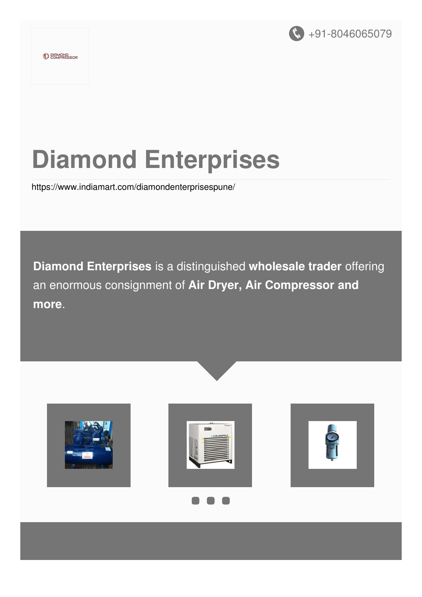

# **Diamond Enterprises**

<https://www.indiamart.com/diamondenterprisespune/>

**Diamond Enterprises** is a distinguished **wholesale trader** offering an enormous consignment of **Air Dryer, Air Compressor and more**.







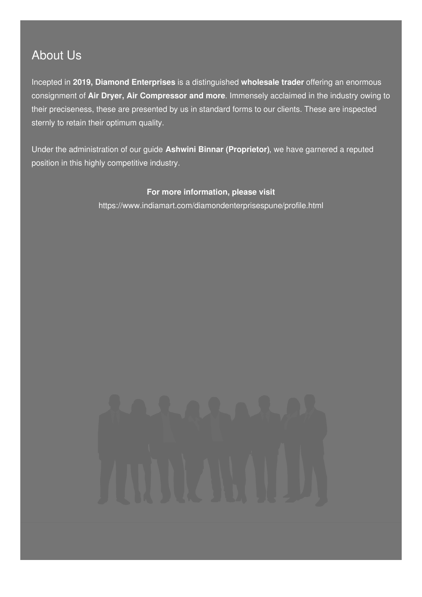### About Us

Incepted in **2019, Diamond Enterprises** is a distinguished **wholesale trader** offering an enormous consignment of **Air Dryer, Air Compressor and more**. Immensely acclaimed in the industry owing to their preciseness, these are presented by us in standard forms to our clients. These are inspected sternly to retain their optimum quality.

Under the administration of our guide **Ashwini Binnar (Proprietor)**, we have garnered a reputed position in this highly competitive industry.

#### **For more information, please visit**

<https://www.indiamart.com/diamondenterprisespune/profile.html>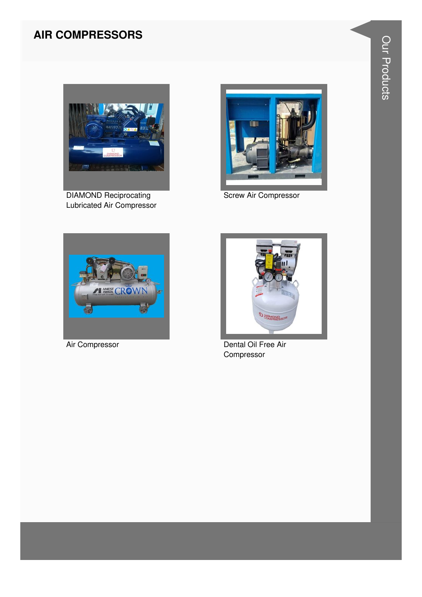#### **AIR COMPRESSORS**



**DIAMOND Reciprocating** Lubricated Air Compressor



**Screw Air Compressor** 



Air Compressor



Dental Oil Free Air Compressor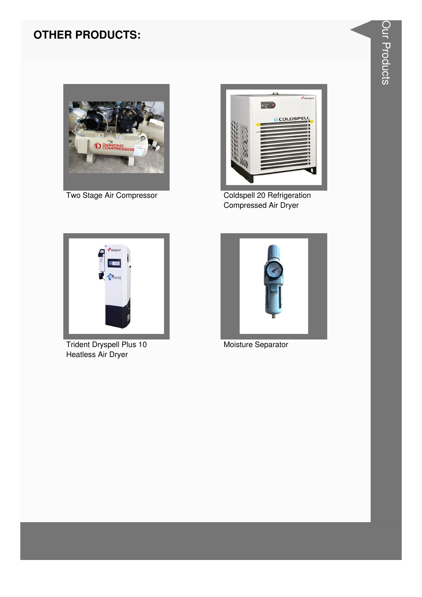#### **OTHER PRODUCTS:**



Two Stage Air Compressor



Coldspell 20 Refrigeration Compressed Air Dryer



**Trident Dryspell Plus 10** Heatless Air Dryer



Moisture Separator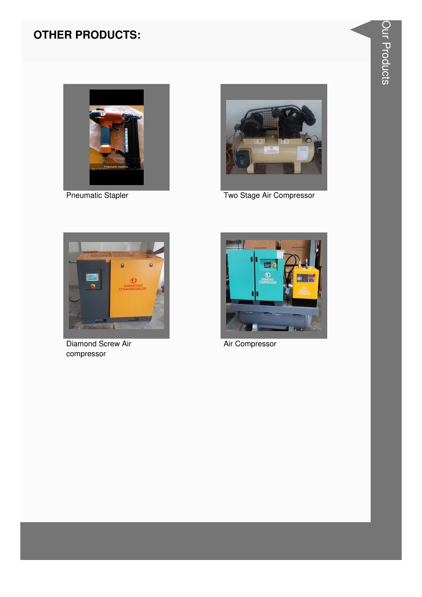### **OTHER PRODUCTS:**



**Pneumatic Stapler** 



Two Stage Air Compressor



**Diamond Screw Air** compressor



Air Compressor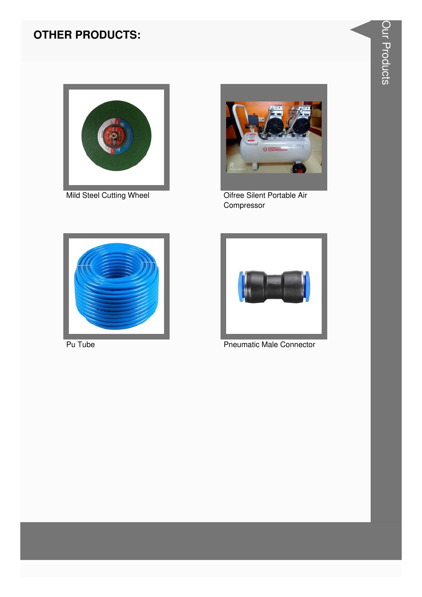#### **OTHER PRODUCTS:**



Mild Steel Cutting Wheel



Oifree Silent Portable Air Compressor



Pu Tube



**Pneumatic Male Connector**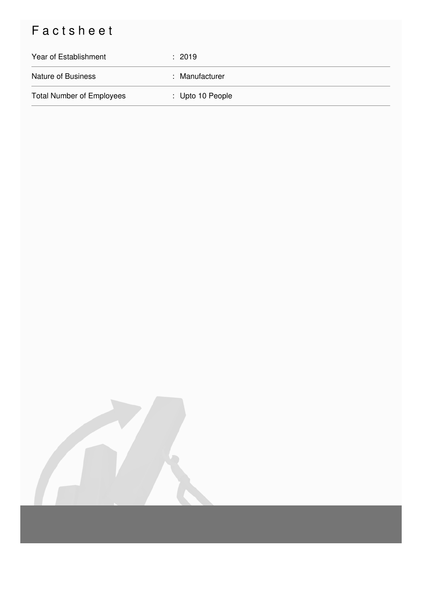## Factsheet

| Year of Establishment            | : 2019           |
|----------------------------------|------------------|
| <b>Nature of Business</b>        | : Manufacturer   |
| <b>Total Number of Employees</b> | : Upto 10 People |